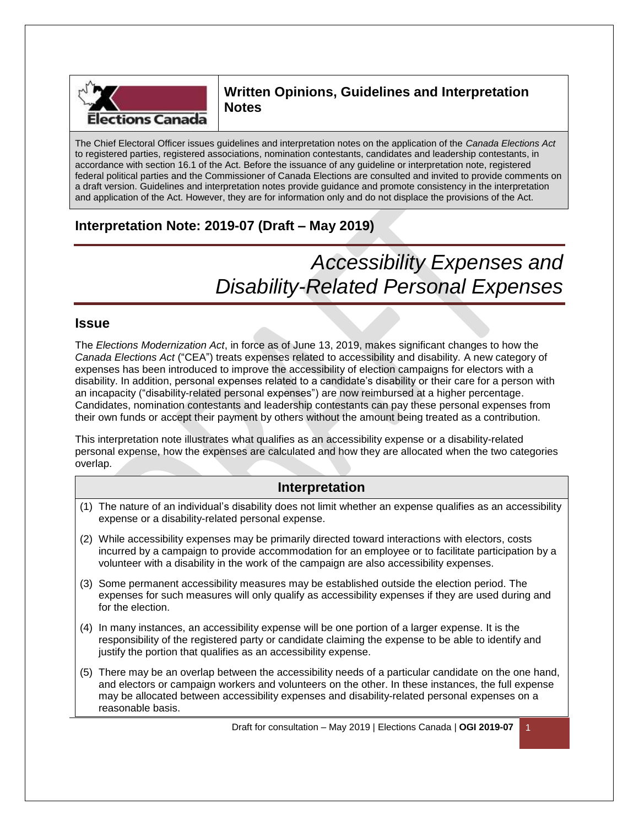

# **Written Opinions, Guidelines and Interpretation Notes**

The Chief Electoral Officer issues guidelines and interpretation notes on the application of the *Canada Elections Act* to registered parties, registered associations, nomination contestants, candidates and leadership contestants, in accordance with section 16.1 of the Act. Before the issuance of any guideline or interpretation note, registered federal political parties and the Commissioner of Canada Elections are consulted and invited to provide comments on a draft version. Guidelines and interpretation notes provide guidance and promote consistency in the interpretation and application of the Act. However, they are for information only and do not displace the provisions of the Act.

# **Interpretation Note: 2019-07 (Draft – May 2019)**

# *Accessibility Expenses and Disability-Related Personal Expenses*

## **Issue**

The *Elections Modernization Act*, in force as of June 13, 2019, makes significant changes to how the *Canada Elections Act* ("CEA") treats expenses related to accessibility and disability. A new category of expenses has been introduced to improve the accessibility of election campaigns for electors with a disability. In addition, personal expenses related to a candidate's disability or their care for a person with an incapacity ("disability-related personal expenses") are now reimbursed at a higher percentage. Candidates, nomination contestants and leadership contestants can pay these personal expenses from their own funds or accept their payment by others without the amount being treated as a contribution.

This interpretation note illustrates what qualifies as an accessibility expense or a disability-related personal expense, how the expenses are calculated and how they are allocated when the two categories overlap.

## **Interpretation**

- (1) The nature of an individual's disability does not limit whether an expense qualifies as an accessibility expense or a disability-related personal expense.
- (2) While accessibility expenses may be primarily directed toward interactions with electors, costs incurred by a campaign to provide accommodation for an employee or to facilitate participation by a volunteer with a disability in the work of the campaign are also accessibility expenses.
- (3) Some permanent accessibility measures may be established outside the election period. The expenses for such measures will only qualify as accessibility expenses if they are used during and for the election.
- (4) In many instances, an accessibility expense will be one portion of a larger expense. It is the responsibility of the registered party or candidate claiming the expense to be able to identify and justify the portion that qualifies as an accessibility expense.
- (5) There may be an overlap between the accessibility needs of a particular candidate on the one hand, and electors or campaign workers and volunteers on the other. In these instances, the full expense may be allocated between accessibility expenses and disability-related personal expenses on a reasonable basis.

Draft for consultation – May 2019 | Elections Canada | **OGI 2019-07** 1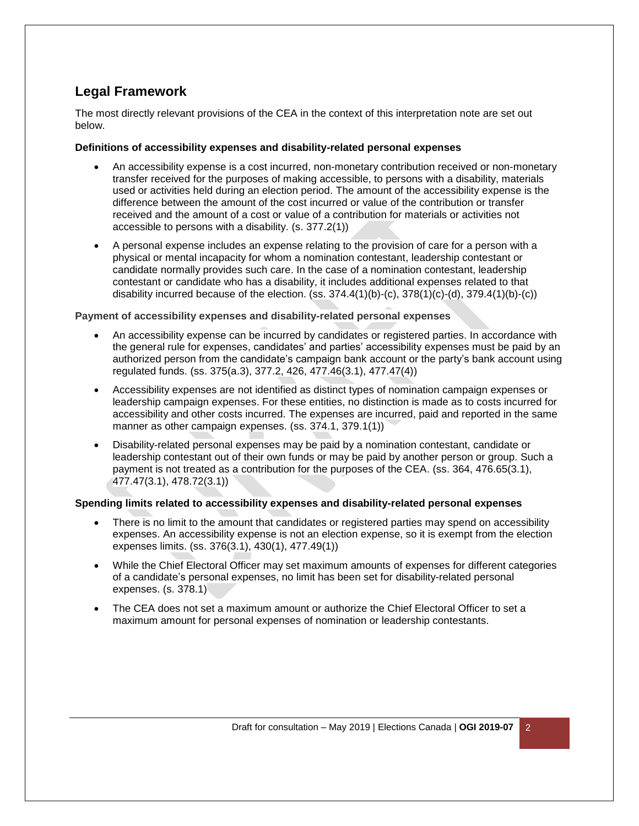## **Legal Framework**

The most directly relevant provisions of the CEA in the context of this interpretation note are set out below.

#### **Definitions of accessibility expenses and disability-related personal expenses**

- An accessibility expense is a cost incurred, non-monetary contribution received or non-monetary transfer received for the purposes of making accessible, to persons with a disability, materials used or activities held during an election period. The amount of the accessibility expense is the difference between the amount of the cost incurred or value of the contribution or transfer received and the amount of a cost or value of a contribution for materials or activities not accessible to persons with a disability. (s. 377.2(1))
- A personal expense includes an expense relating to the provision of care for a person with a physical or mental incapacity for whom a nomination contestant, leadership contestant or candidate normally provides such care. In the case of a nomination contestant, leadership contestant or candidate who has a disability, it includes additional expenses related to that disability incurred because of the election.  $(ss. 374.4(1)(b)-(c), 378(1)(c)-(d), 379.4(1)(b)-(c))$

#### **Payment of accessibility expenses and disability-related personal expenses**

- An accessibility expense can be incurred by candidates or registered parties. In accordance with the general rule for expenses, candidates' and parties' accessibility expenses must be paid by an authorized person from the candidate's campaign bank account or the party's bank account using regulated funds. (ss. 375(a.3), 377.2, 426, 477.46(3.1), 477.47(4))
- Accessibility expenses are not identified as distinct types of nomination campaign expenses or leadership campaign expenses. For these entities, no distinction is made as to costs incurred for accessibility and other costs incurred. The expenses are incurred, paid and reported in the same manner as other campaign expenses. (ss. 374.1, 379.1(1))
- Disability-related personal expenses may be paid by a nomination contestant, candidate or leadership contestant out of their own funds or may be paid by another person or group. Such a payment is not treated as a contribution for the purposes of the CEA. (ss. 364, 476.65(3.1), 477.47(3.1), 478.72(3.1))

#### **Spending limits related to accessibility expenses and disability-related personal expenses**

- There is no limit to the amount that candidates or registered parties may spend on accessibility expenses. An accessibility expense is not an election expense, so it is exempt from the election expenses limits. (ss. 376(3.1), 430(1), 477.49(1))
- While the Chief Electoral Officer may set maximum amounts of expenses for different categories of a candidate's personal expenses, no limit has been set for disability-related personal expenses. (s. 378.1)
- The CEA does not set a maximum amount or authorize the Chief Electoral Officer to set a maximum amount for personal expenses of nomination or leadership contestants.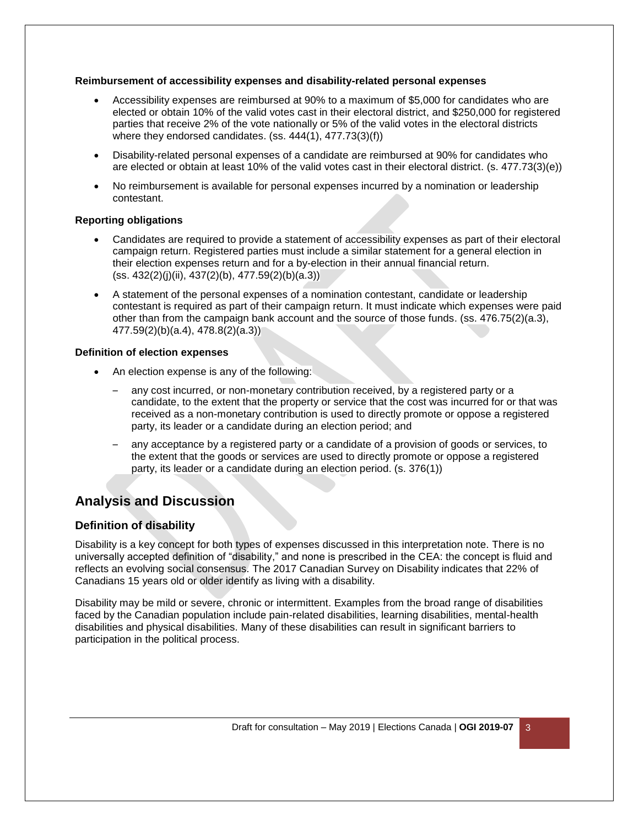#### **Reimbursement of accessibility expenses and disability-related personal expenses**

- Accessibility expenses are reimbursed at 90% to a maximum of \$5,000 for candidates who are elected or obtain 10% of the valid votes cast in their electoral district, and \$250,000 for registered parties that receive 2% of the vote nationally or 5% of the valid votes in the electoral districts where they endorsed candidates. (ss. 444(1), 477.73(3)(f))
- Disability-related personal expenses of a candidate are reimbursed at 90% for candidates who are elected or obtain at least 10% of the valid votes cast in their electoral district. (s. 477.73(3)(e))
- No reimbursement is available for personal expenses incurred by a nomination or leadership contestant.

#### **Reporting obligations**

- Candidates are required to provide a statement of accessibility expenses as part of their electoral campaign return. Registered parties must include a similar statement for a general election in their election expenses return and for a by-election in their annual financial return. (ss. 432(2)(j)(ii), 437(2)(b), 477.59(2)(b)(a.3))
- A statement of the personal expenses of a nomination contestant, candidate or leadership contestant is required as part of their campaign return. It must indicate which expenses were paid other than from the campaign bank account and the source of those funds. (ss. 476.75(2)(a.3), 477.59(2)(b)(a.4), 478.8(2)(a.3))

#### **Definition of election expenses**

- An election expense is any of the following:
	- any cost incurred, or non-monetary contribution received, by a registered party or a candidate, to the extent that the property or service that the cost was incurred for or that was received as a non-monetary contribution is used to directly promote or oppose a registered party, its leader or a candidate during an election period; and
	- any acceptance by a registered party or a candidate of a provision of goods or services, to the extent that the goods or services are used to directly promote or oppose a registered party, its leader or a candidate during an election period. (s. 376(1))

## **Analysis and Discussion**

### **Definition of disability**

Disability is a key concept for both types of expenses discussed in this interpretation note. There is no universally accepted definition of "disability," and none is prescribed in the CEA: the concept is fluid and reflects an evolving social consensus. The 2017 Canadian Survey on Disability indicates that 22% of Canadians 15 years old or older identify as living with a disability.

Disability may be mild or severe, chronic or intermittent. Examples from the broad range of disabilities faced by the Canadian population include pain-related disabilities, learning disabilities, mental-health disabilities and physical disabilities. Many of these disabilities can result in significant barriers to participation in the political process.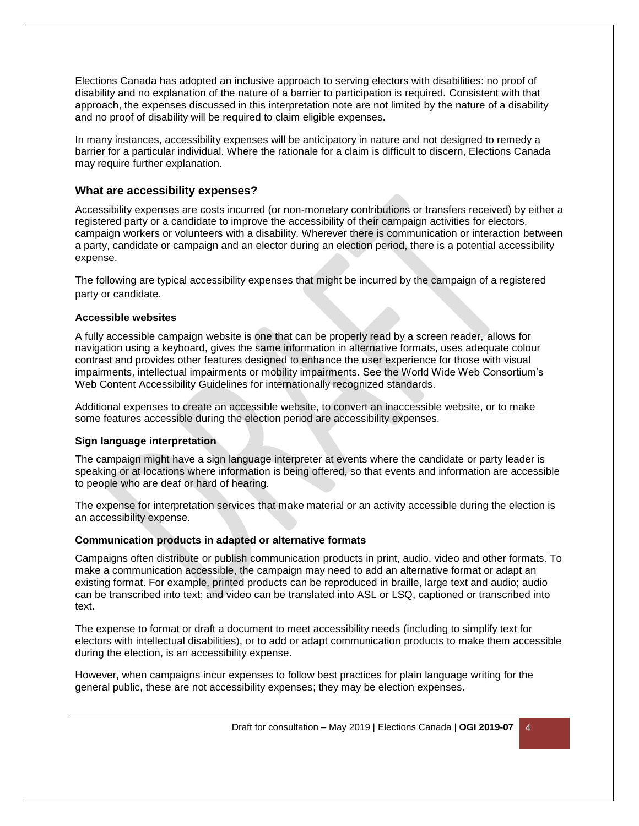Elections Canada has adopted an inclusive approach to serving electors with disabilities: no proof of disability and no explanation of the nature of a barrier to participation is required. Consistent with that approach, the expenses discussed in this interpretation note are not limited by the nature of a disability and no proof of disability will be required to claim eligible expenses.

In many instances, accessibility expenses will be anticipatory in nature and not designed to remedy a barrier for a particular individual. Where the rationale for a claim is difficult to discern, Elections Canada may require further explanation.

#### **What are accessibility expenses?**

Accessibility expenses are costs incurred (or non-monetary contributions or transfers received) by either a registered party or a candidate to improve the accessibility of their campaign activities for electors, campaign workers or volunteers with a disability. Wherever there is communication or interaction between a party, candidate or campaign and an elector during an election period, there is a potential accessibility expense.

The following are typical accessibility expenses that might be incurred by the campaign of a registered party or candidate.

#### **Accessible websites**

A fully accessible campaign website is one that can be properly read by a screen reader, allows for navigation using a keyboard, gives the same information in alternative formats, uses adequate colour contrast and provides other features designed to enhance the user experience for those with visual impairments, intellectual impairments or mobility impairments. See the World Wide Web Consortium's Web Content Accessibility Guidelines for internationally recognized standards.

Additional expenses to create an accessible website, to convert an inaccessible website, or to make some features accessible during the election period are accessibility expenses.

#### **Sign language interpretation**

The campaign might have a sign language interpreter at events where the candidate or party leader is speaking or at locations where information is being offered, so that events and information are accessible to people who are deaf or hard of hearing.

The expense for interpretation services that make material or an activity accessible during the election is an accessibility expense.

#### **Communication products in adapted or alternative formats**

Campaigns often distribute or publish communication products in print, audio, video and other formats. To make a communication accessible, the campaign may need to add an alternative format or adapt an existing format. For example, printed products can be reproduced in braille, large text and audio; audio can be transcribed into text; and video can be translated into ASL or LSQ, captioned or transcribed into text.

The expense to format or draft a document to meet accessibility needs (including to simplify text for electors with intellectual disabilities), or to add or adapt communication products to make them accessible during the election, is an accessibility expense.

However, when campaigns incur expenses to follow best practices for plain language writing for the general public, these are not accessibility expenses; they may be election expenses.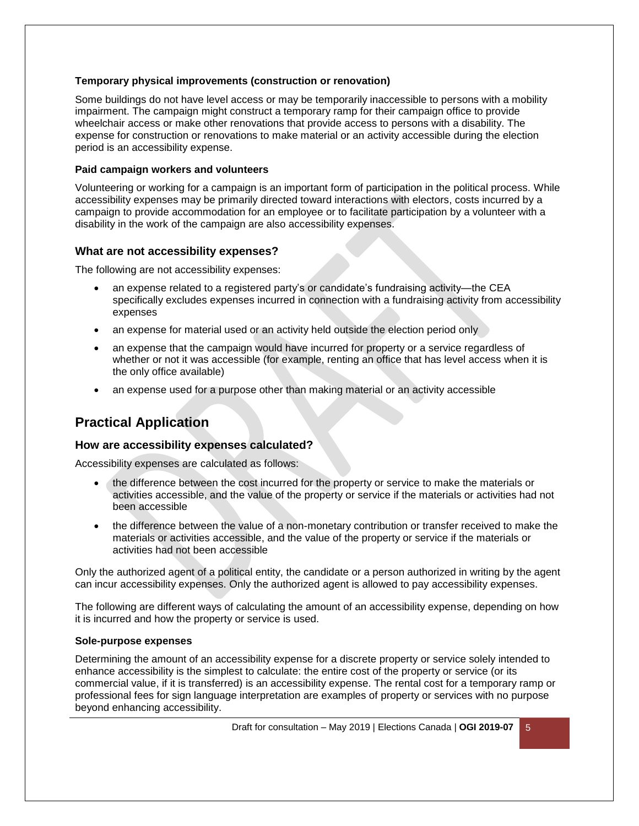#### **Temporary physical improvements (construction or renovation)**

Some buildings do not have level access or may be temporarily inaccessible to persons with a mobility impairment. The campaign might construct a temporary ramp for their campaign office to provide wheelchair access or make other renovations that provide access to persons with a disability. The expense for construction or renovations to make material or an activity accessible during the election period is an accessibility expense.

#### **Paid campaign workers and volunteers**

Volunteering or working for a campaign is an important form of participation in the political process. While accessibility expenses may be primarily directed toward interactions with electors, costs incurred by a campaign to provide accommodation for an employee or to facilitate participation by a volunteer with a disability in the work of the campaign are also accessibility expenses.

#### **What are not accessibility expenses?**

The following are not accessibility expenses:

- an expense related to a registered party's or candidate's fundraising activity—the CEA specifically excludes expenses incurred in connection with a fundraising activity from accessibility expenses
- an expense for material used or an activity held outside the election period only
- an expense that the campaign would have incurred for property or a service regardless of whether or not it was accessible (for example, renting an office that has level access when it is the only office available)
- an expense used for a purpose other than making material or an activity accessible

## **Practical Application**

#### **How are accessibility expenses calculated?**

Accessibility expenses are calculated as follows:

- the difference between the cost incurred for the property or service to make the materials or activities accessible, and the value of the property or service if the materials or activities had not been accessible
- the difference between the value of a non-monetary contribution or transfer received to make the materials or activities accessible, and the value of the property or service if the materials or activities had not been accessible

Only the authorized agent of a political entity, the candidate or a person authorized in writing by the agent can incur accessibility expenses. Only the authorized agent is allowed to pay accessibility expenses.

The following are different ways of calculating the amount of an accessibility expense, depending on how it is incurred and how the property or service is used.

#### **Sole-purpose expenses**

Determining the amount of an accessibility expense for a discrete property or service solely intended to enhance accessibility is the simplest to calculate: the entire cost of the property or service (or its commercial value, if it is transferred) is an accessibility expense. The rental cost for a temporary ramp or professional fees for sign language interpretation are examples of property or services with no purpose beyond enhancing accessibility.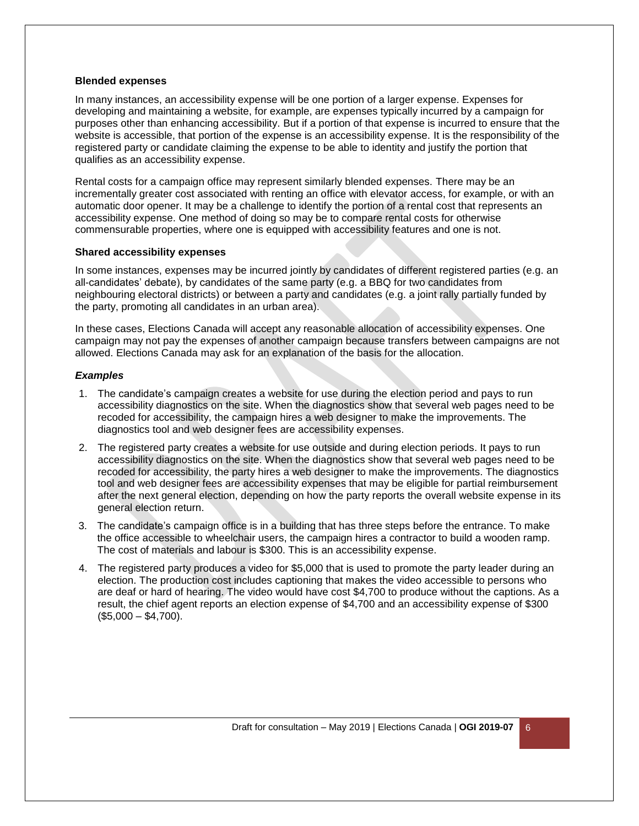#### **Blended expenses**

In many instances, an accessibility expense will be one portion of a larger expense. Expenses for developing and maintaining a website, for example, are expenses typically incurred by a campaign for purposes other than enhancing accessibility. But if a portion of that expense is incurred to ensure that the website is accessible, that portion of the expense is an accessibility expense. It is the responsibility of the registered party or candidate claiming the expense to be able to identity and justify the portion that qualifies as an accessibility expense.

Rental costs for a campaign office may represent similarly blended expenses. There may be an incrementally greater cost associated with renting an office with elevator access, for example, or with an automatic door opener. It may be a challenge to identify the portion of a rental cost that represents an accessibility expense. One method of doing so may be to compare rental costs for otherwise commensurable properties, where one is equipped with accessibility features and one is not.

#### **Shared accessibility expenses**

In some instances, expenses may be incurred jointly by candidates of different registered parties (e.g. an all-candidates' debate), by candidates of the same party (e.g. a BBQ for two candidates from neighbouring electoral districts) or between a party and candidates (e.g. a joint rally partially funded by the party, promoting all candidates in an urban area).

In these cases, Elections Canada will accept any reasonable allocation of accessibility expenses. One campaign may not pay the expenses of another campaign because transfers between campaigns are not allowed. Elections Canada may ask for an explanation of the basis for the allocation.

#### *Examples*

- 1. The candidate's campaign creates a website for use during the election period and pays to run accessibility diagnostics on the site. When the diagnostics show that several web pages need to be recoded for accessibility, the campaign hires a web designer to make the improvements. The diagnostics tool and web designer fees are accessibility expenses.
- 2. The registered party creates a website for use outside and during election periods. It pays to run accessibility diagnostics on the site. When the diagnostics show that several web pages need to be recoded for accessibility, the party hires a web designer to make the improvements. The diagnostics tool and web designer fees are accessibility expenses that may be eligible for partial reimbursement after the next general election, depending on how the party reports the overall website expense in its general election return.
- 3. The candidate's campaign office is in a building that has three steps before the entrance. To make the office accessible to wheelchair users, the campaign hires a contractor to build a wooden ramp. The cost of materials and labour is \$300. This is an accessibility expense.
- 4. The registered party produces a video for \$5,000 that is used to promote the party leader during an election. The production cost includes captioning that makes the video accessible to persons who are deaf or hard of hearing. The video would have cost \$4,700 to produce without the captions. As a result, the chief agent reports an election expense of \$4,700 and an accessibility expense of \$300  $($5,000 - $4,700).$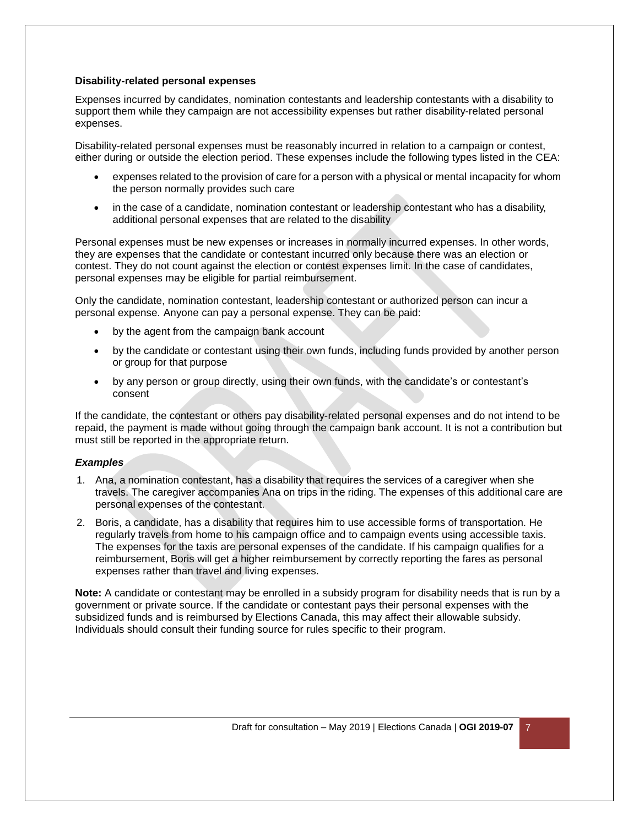#### **Disability-related personal expenses**

Expenses incurred by candidates, nomination contestants and leadership contestants with a disability to support them while they campaign are not accessibility expenses but rather disability-related personal expenses.

Disability-related personal expenses must be reasonably incurred in relation to a campaign or contest, either during or outside the election period. These expenses include the following types listed in the CEA:

- expenses related to the provision of care for a person with a physical or mental incapacity for whom the person normally provides such care
- in the case of a candidate, nomination contestant or leadership contestant who has a disability, additional personal expenses that are related to the disability

Personal expenses must be new expenses or increases in normally incurred expenses. In other words, they are expenses that the candidate or contestant incurred only because there was an election or contest. They do not count against the election or contest expenses limit. In the case of candidates, personal expenses may be eligible for partial reimbursement.

Only the candidate, nomination contestant, leadership contestant or authorized person can incur a personal expense. Anyone can pay a personal expense. They can be paid:

- by the agent from the campaign bank account
- by the candidate or contestant using their own funds, including funds provided by another person or group for that purpose
- by any person or group directly, using their own funds, with the candidate's or contestant's consent

If the candidate, the contestant or others pay disability-related personal expenses and do not intend to be repaid, the payment is made without going through the campaign bank account. It is not a contribution but must still be reported in the appropriate return.

#### *Examples*

- 1. Ana, a nomination contestant, has a disability that requires the services of a caregiver when she travels. The caregiver accompanies Ana on trips in the riding. The expenses of this additional care are personal expenses of the contestant.
- 2. Boris, a candidate, has a disability that requires him to use accessible forms of transportation. He regularly travels from home to his campaign office and to campaign events using accessible taxis. The expenses for the taxis are personal expenses of the candidate. If his campaign qualifies for a reimbursement, Boris will get a higher reimbursement by correctly reporting the fares as personal expenses rather than travel and living expenses.

**Note:** A candidate or contestant may be enrolled in a subsidy program for disability needs that is run by a government or private source. If the candidate or contestant pays their personal expenses with the subsidized funds and is reimbursed by Elections Canada, this may affect their allowable subsidy. Individuals should consult their funding source for rules specific to their program.